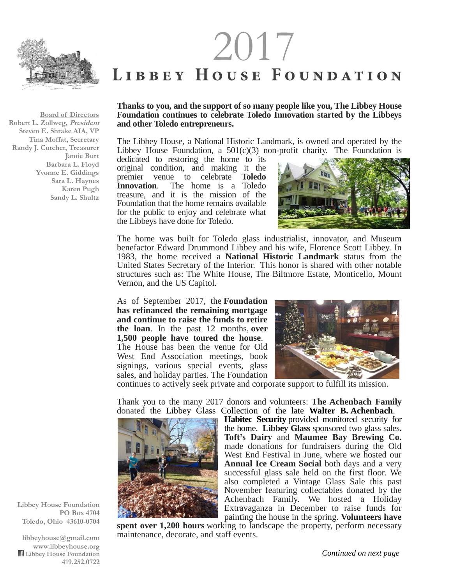

**Board of Directors Robert L. Zollweg, President Steven E. Shrake AIA, VP Tina Moffat, Secretary Randy J. Cutcher, Treasurer Jamie Burt Barbara L. Floyd Yvonne E. Giddings Sara L. Haynes Karen Pugh Sandy L. Shultz**

## $2017$ <br>
LIBBEY HOUSE FOUNDATION

## **Thanks to you, and the support of so many people like you, The Libbey House Foundation continues to celebrate Toledo Innovation started by the Libbeys and other Toledo entrepreneurs.**

The Libbey House, a National Historic Landmark, is owned and operated by the Libbey House Foundation, a  $501(c)(3)$  non-profit charity. The Foundation is

dedicated to restoring the home to its original condition, and making it the premier venue to celebrate **Toledo Innovation**. The home is a Toledo treasure, and it is the mission of the Foundation that the home remains available for the public to enjoy and celebrate what the Libbeys have done for Toledo.



The home was built for Toledo glass industrialist, innovator, and Museum benefactor Edward Drummond Libbey and his wife, Florence Scott Libbey. In 1983, the home received a **National Historic Landmark** status from the United States Secretary of the Interior. This honor is shared with other notable structures such as: The White House, The Biltmore Estate, Monticello, Mount Vernon, and the US Capitol.

As of September 2017, the **Foundation has refinanced the remaining mortgage and continue to raise the funds to retire the loan**. In the past 12 months, **over 1,500 people have toured the house**. The House has been the venue for Old West End Association meetings, book signings, various special events, glass sales, and holiday parties. The Foundation



continues to actively seek private and corporate support to fulfill its mission.

Thank you to the many 2017 donors and volunteers: **The Achenbach Family** donated the Libbey Glass Collection of the late **Walter B. Achenbach**.

**Habitec Security** provided monitored security for the home. **Libbey Glass** sponsored two glass sales**. Toft's Dairy** and **Maumee Bay Brewing Co.** made donations for fundraisers during the Old West End Festival in June, where we hosted our **Annual Ice Cream Social** both days and a very successful glass sale held on the first floor. We also completed a Vintage Glass Sale this past November featuring collectables donated by the Achenbach Family. We hosted a Holiday Extravaganza in December to raise funds for painting the house in the spring. **Volunteers have** 

**spent over 1,200 hours** working to landscape the property, perform necessary maintenance, decorate, and staff events.

**Libbey House Foundation PO Box 4704 Toledo, Ohio 43610-0704**

**libbeyhouse@gmail.com www.libbeyhouse.org Libbey House Foundation 419.252.0722**